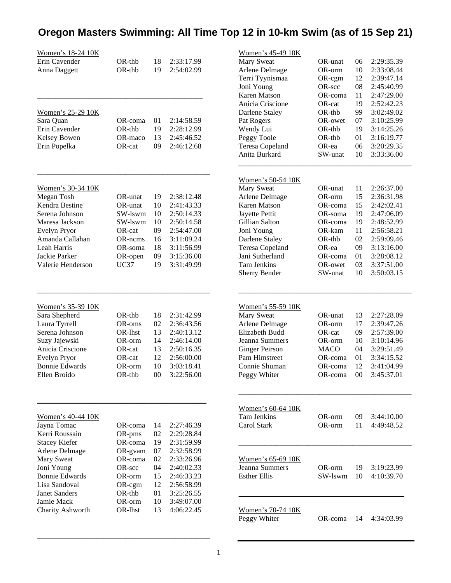## **Oregon Masters Swimming: All Time Top 12 in 10-km Swim (as of 15 Sep 21)**

| <u>Women's 18-24 10K</u><br>Erin Cavender<br>Anna Daggett                                                                                                                                                                           | OR-thb<br>$OR-thb$                                                                                                 | 18<br>19                                                       | 2:33:17.99<br>2:54:02.99                                                                                                                               |
|-------------------------------------------------------------------------------------------------------------------------------------------------------------------------------------------------------------------------------------|--------------------------------------------------------------------------------------------------------------------|----------------------------------------------------------------|--------------------------------------------------------------------------------------------------------------------------------------------------------|
| Women's 25-29 10K<br>Sara Quan<br>Erin Cavender<br>Kelsey Bowen<br>Erin Popelka                                                                                                                                                     | OR-coma<br>$OR-thb$<br>OR-maco<br>OR-cat                                                                           | 01<br>19<br>13<br>09                                           | 2:14:58.59<br>2:28:12.99<br>2:45:46.52<br>2:46:12.68                                                                                                   |
| <u>Women's 30-34 10K</u><br>Megan Tosh<br>Kendra Bestine<br>Serena Johnson<br>Maresa Jackson<br>Evelyn Pryor<br>Amanda Callahan<br>Leah Harris<br>Jackie Parker<br>Valerie Henderson                                                | OR-unat<br>OR-unat<br>SW-lswm<br>SW-lswm<br>OR-cat<br>OR-ncms<br>OR-soma<br>OR-open<br>UC37                        | 19<br>10<br>10<br>10<br>09<br>16<br>18<br>09<br>19             | 2:38:12.48<br>2:41:43.33<br>2:50:14.33<br>2:50:14.58<br>2:54:47.00<br>3:11:09.24<br>3:11:56.99<br>3:15:36.00<br>3:31:49.99                             |
| Women's 35-39 10K<br>Sara Shepherd<br>Laura Tyrrell<br>Serena Johnson<br>Suzy Jajewski<br>Anicia Criscione<br>Evelyn Pryor<br><b>Bonnie Edwards</b><br>Ellen Broido                                                                 | OR-thb<br>OR-oms<br>OR-lhst<br>OR-orm<br>OR-cat<br>OR-cat<br>OR-orm<br>OR-thb                                      | 18<br>02<br>13<br>14<br>13<br>12<br>10<br>00                   | 2:31:42.99<br>2:36:43.56<br>2:40:13.12<br>2:46:14.00<br>2:50:16.35<br>2:56:00.00<br>3:03:18.41<br>3:22:56.00                                           |
| Women's 40-44 10K<br>Jayna Tomac<br>Kerri Roussain<br><b>Stacey Kiefer</b><br>Arlene Delmage<br><b>Mary Sweat</b><br>Joni Young<br><b>Bonnie Edwards</b><br>Lisa Sandoval<br><b>Janet Sanders</b><br>Jamie Mack<br>Charity Ashworth | OR-coma<br>OR-pms<br>OR-coma<br>OR-gvam<br>OR-coma<br>OR-scc<br>OR-orm<br>OR-cgm<br>$OR$ -thb<br>OR-orm<br>OR-lhst | 14<br>02<br>19<br>07<br>02<br>04<br>15<br>12<br>01<br>10<br>13 | 2:27:46.39<br>2:29:28.84<br>2:31:59.99<br>2:32:58.99<br>2:33:26.96<br>2:40:02.33<br>2:46:33.23<br>2:56:58.99<br>3:25:26.55<br>3:49:07.00<br>4:06:22.45 |

\_\_\_\_\_\_\_\_\_\_\_\_\_\_\_\_\_\_\_\_\_\_\_\_\_\_\_\_\_\_\_\_\_\_\_\_\_\_\_\_\_\_\_\_\_\_\_

| <u>Women's 45-49 10K</u>          |             |    |               |
|-----------------------------------|-------------|----|---------------|
| Mary Sweat                        | OR-unat     | 06 | 2:29:35.39    |
| Arlene Delmage                    | OR-orm      | 10 | 2:33:08.44    |
| Terri Tyynismaa                   | OR-cgm      | 12 | 2:39:47.14    |
| Joni Young                        | OR-scc      | 08 | 2:45:40.99    |
| Karen Matson                      | OR-coma     | 11 | 2:47:29.00    |
| Anicia Criscione                  | OR-cat      | 19 | 2:52:42.23    |
| Darlene Staley                    | OR-thb      | 99 | 3:02:49.02    |
| Pat Rogers                        | OR-owet     | 07 | 3:10:25.99    |
| Wendy Lui                         | OR-thb      | 19 | 3:14:25.26    |
| Peggy Toole                       | OR-thb      | 01 | 3:16:19.77    |
| Teresa Copeland                   | OR-ea       | 06 | 3:20:29.35    |
| Anita Burkard                     | SW-unat     | 10 | 3:33:36.00    |
|                                   |             |    |               |
|                                   |             |    |               |
| Women's 50-54 10K                 | OR-unat     | 11 |               |
| Mary Sweat                        |             |    | 2:26:37.00    |
| Arlene Delmage                    | OR-orm      | 15 | 2:36:31.98    |
| Karen Matson                      | OR-coma     | 15 | 2:42:02.41    |
| Jayette Pettit                    | OR-soma     | 19 | 2:47:06.09    |
| Gillian Salton                    | OR-coma     | 19 | 2:48:52.99    |
| Joni Young                        | OR-kam      | 11 | 2:56:58.21    |
| Darlene Staley                    | OR-thb      | 02 | 2:59:09.46    |
| Teresa Copeland                   | OR-ea       | 09 | 3:13:16.00    |
| Jani Sutherland                   | OR-coma     | 01 | 3:28:08.12    |
| Tam Jenkins                       | OR-owet     | 03 | 3:37:51.00    |
| Sherry Bender                     | SW-unat     | 10 | 3:50:03.15    |
|                                   |             |    |               |
| Women's 55-59 10K                 |             |    |               |
| Mary Sweat                        | OR-unat     | 13 | 2:27:28.09    |
| Arlene Delmage                    | OR-orm      | 17 | 2:39:47.26    |
| Elizabeth Budd                    | OR-cat      | 09 | 2:57:39.00    |
| Jeanna Summers                    | OR-orm      | 10 | 3:10:14.96    |
| <b>Ginger Peirson</b>             | <b>MACO</b> | 04 | 3:29:51.49    |
| Pam Himstreet                     | OR-coma     | 01 | 3:34:15.52    |
| Connie Shuman                     | OR-coma     | 12 | 3:41:04.99    |
| Peggy Whiter                      | OR-coma     | 00 | 3:45:37.01    |
|                                   |             |    |               |
| <u>Women's 60-64 10K</u>          |             |    |               |
| Tam Jenkins                       | OR-orm      | 09 | 3:44:10.00    |
| Carol Stark                       | OR-orm      | 11 | 4:49:48.52    |
|                                   |             |    |               |
|                                   |             |    |               |
| <u>Women's 65-69 10K</u>          |             |    |               |
| Jeanna Summers                    | OR-orm      |    | 19 3:19:23.99 |
| Esther Ellis                      | SW-lswm     | 10 | 4:10:39.70    |
|                                   |             |    |               |
| Women's 70-74 10K<br>Peggy Whiter | OR-coma     | 14 | 4:34:03.99    |
|                                   |             |    |               |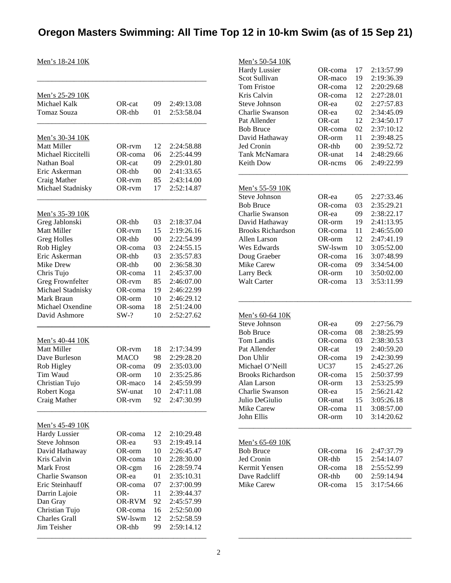## **Oregon Masters Swimming: All Time Top 12 in 10-km Swim (as of 15 Sep 21)**

Men's 18-24 10K

| Men's 25-29 10K             |                     |        |            |
|-----------------------------|---------------------|--------|------------|
| Michael Kalk                | OR-cat              | 09     | 2:49:13.08 |
| Tomaz Souza                 | $OR-thb$            | 01     | 2:53:58.04 |
|                             |                     |        |            |
| <u>Men's 30-34 10K</u>      |                     |        |            |
| Matt Miller                 | OR-rvm              | 12     | 2:24:58.88 |
| Michael Riccitelli          | OR-coma             | 06     | 2:25:44.99 |
| Nathan Boal                 | OR-cat              | 09     | 2:29:01.80 |
| Eric Askerman               | $OR-thb$            | $00\,$ | 2:41:33.65 |
| Craig Mather                | OR-rvm              | 85     | 2:43:14.00 |
| Michael Stadnisky           | OR-rvm              | 17     | 2:52:14.87 |
|                             |                     |        |            |
| <u>Men's 35-39 10K</u>      | $OR-thb$            |        |            |
| Greg Jablonski              |                     | 03     | 2:18:37.04 |
| <b>Matt Miller</b>          | OR-rvm              | 15     | 2:19:26.16 |
| <b>Greg Holles</b>          | OR-thb              | $00\,$ | 2:22:54.99 |
| Rob Higley<br>Eric Askerman | OR-coma<br>$OR-thb$ | 03     | 2:24:55.15 |
| Mike Drew                   | $OR-thb$            | 03     | 2:35:57.83 |
|                             |                     | $00\,$ | 2:36:58.30 |
| Chris Tujo                  | OR-coma             | 11     | 2:45:37.00 |
| Greg Frownfelter            | OR-rvm              | 85     | 2:46:07.00 |
| Michael Stadnisky           | OR-coma             | 19     | 2:46:22.99 |
| Mark Braun                  | OR-orm              | 10     | 2:46:29.12 |
| Michael Oxendine            | OR-soma             | 18     | 2:51:24.00 |
| David Ashmore               | $SW-?$              | 10     | 2:52:27.62 |
| <u>Men's 40-44 10K</u>      |                     |        |            |
| Matt Miller                 | OR-rvm              | 18     | 2:17:34.99 |
| Dave Burleson               | <b>MACO</b>         | 98     | 2:29:28.20 |
| Rob Higley                  | OR-coma             | 09     | 2:35:03.00 |
| Tim Waud                    | OR-orm              | 10     | 2:35:25.86 |
| Christian Tujo              | OR-maco             | 14     | 2:45:59.99 |
| Robert Koga                 | SW-unat             | 10     | 2:47:11.08 |
| Craig Mather                | OR-rvm              | 92     | 2:47:30.99 |
| Men's 45-49 10K             |                     |        |            |
| <b>Hardy Lussier</b>        | OR-coma             | 12     | 2:10:29.48 |
| <b>Steve Johnson</b>        | OR-ea               | 93     | 2:19:49.14 |
| David Hathaway              | OR-orm              | 10     | 2:26:45.47 |
| Kris Calvin                 | OR-coma             | 10     | 2:28:30.00 |
| <b>Mark Frost</b>           | OR-cgm              | 16     | 2:28:59.74 |
| <b>Charlie Swanson</b>      | OR-ea               | 01     | 2:35:10.31 |
| Eric Steinhauff             | OR-coma             | 07     | 2:37:00.99 |
| Darrin Lajoie               | OR-                 | 11     | 2:39:44.37 |
| Dan Gray                    | <b>OR-RVM</b>       | 92     | 2:45:57.99 |
| Christian Tujo              | OR-coma             | 16     | 2:52:50.00 |
| <b>Charles Grall</b>        | SW-lswm             | 12     | 2:52:58.59 |
| Jim Teisher                 | OR-thb              | 99.    | 2:59:14.12 |
|                             |                     |        |            |

\_\_\_\_\_\_\_\_\_\_\_\_\_\_\_\_\_\_\_\_\_\_\_\_\_\_\_\_\_\_\_\_\_\_\_\_\_\_\_\_\_\_\_\_\_\_

| Men's 50-54 10K<br><b>Hardy Lussier</b>        | OR-coma           | 17           | 2:13:57.99               |
|------------------------------------------------|-------------------|--------------|--------------------------|
| Scot Sullivan                                  | OR-maco           | 19           | 2:19:36.39               |
| <b>Tom Fristoe</b>                             | OR-coma           | 12           | 2:20:29.68               |
| Kris Calvin                                    | OR-coma           | 12           | 2:27:28.01               |
|                                                |                   |              |                          |
| <b>Steve Johnson</b>                           | OR-ea             | 02           | 2:27:57.83               |
| Charlie Swanson                                | OR-ea             | 02           | 2:34:45.09               |
| Pat Allender                                   | OR-cat            | 12           | 2:34:50.17               |
| <b>Bob Bruce</b>                               | OR-coma           | 02           | 2:37:10:12               |
| David Hathaway                                 | OR-orm            | 11           | 2:39:48.25               |
| Jed Cronin                                     | $OR$ -thb         | $00\,$       | 2:39:52.72               |
| Tank McNamara                                  | OR-unat           | 14           | 2:48:29.66               |
| Keith Dow                                      | OR-ncms           | 06           | 2:49:22.99               |
|                                                |                   |              |                          |
| <u>Men's 55-59 10K</u><br><b>Steve Johnson</b> | OR-ea             | 05           | 2:27:33.46               |
|                                                | OR-coma           |              |                          |
| <b>Bob Bruce</b>                               |                   | 03           | 2:35:29.21               |
| <b>Charlie Swanson</b>                         | OR-ea             | 09           | 2:38:22.17               |
| David Hathaway                                 | OR-orm            | 19           | 2:41:13.95               |
| <b>Brooks Richardson</b>                       | OR-coma           | 11           | 2:46:55.00               |
| Allen Larson                                   | OR-orm            | 12           | 2:47:41.19               |
| Wes Edwards                                    | SW-lswm           | 10           | 3:05:52.00               |
| Doug Graeber                                   | OR-coma           | 16           | 3:07:48.99               |
| <b>Mike Carew</b>                              | OR-coma           | 09           | 3:34:54.00               |
| Larry Beck                                     | OR-orm            | 10           | 3:50:02.00               |
|                                                |                   |              |                          |
| <b>Walt Carter</b>                             | OR-coma           | 13           | 3:53:11.99               |
|                                                |                   |              |                          |
| Men's 60-64 10K                                |                   |              |                          |
| <b>Steve Johnson</b>                           | OR-ea             | 09           | 2:27:56.79               |
| <b>Bob Bruce</b>                               | OR-coma           | 08           | 2:38:25.99               |
| <b>Tom Landis</b>                              | OR-coma           | 03           | 2:38:30.53               |
| Pat Allender                                   | OR-cat            | 19           | 2:40:59.20               |
| Don Uhlir                                      | OR-coma           | 19           | 2:42:30.99               |
| Michael O'Neill                                |                   |              |                          |
|                                                | UC37              | 15           | 2:45:27.26               |
| <b>Brooks Richardson</b>                       | OR-coma           | 15           | 2:50:37.99               |
| Alan Larson                                    | OR-orm            | 13           | 2:53:25.99               |
| Charlie Swanson                                | OR-ea             | 15           | 2:56:21.42               |
| Julio DeGiulio                                 | OR-unat           | 15           | 3:05:26.18               |
| <b>Mike Carew</b>                              | OR-coma           | 11           | 3:08:57.00               |
| John Ellis                                     | OR-orm            | 10           | 3:14:20.62               |
| Men's 65-69 10K                                |                   |              |                          |
| <b>Bob Bruce</b>                               | OR-coma           | 16           | 2:47:37.79               |
| Jed Cronin                                     | OR-thb            | 15           | 2:54:14.07               |
| Kermit Yensen                                  | OR-coma           |              |                          |
|                                                |                   | 18           | 2:55:52.99               |
| Dave Radcliff<br>Mike Carew                    | OR-thb<br>OR-coma | $00\,$<br>15 | 2:59:14.94<br>3:17:54.66 |

\_\_\_\_\_\_\_\_\_\_\_\_\_\_\_\_\_\_\_\_\_\_\_\_\_\_\_\_\_\_\_\_\_\_\_\_\_\_\_\_\_\_\_\_\_\_\_